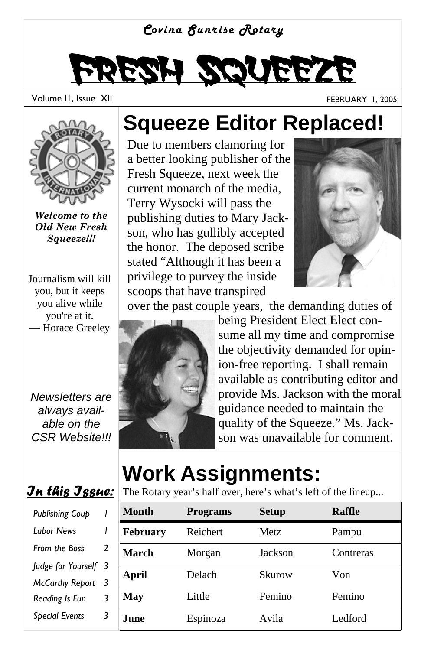

# Fresh Squeeze

Volume II, Issue XII FEBRUARY 1, 2005



*Welcome to the Old New Fresh Squeeze!!!*

Journalism will kill you, but it keeps you alive while you're at it. — Horace Greeley

*Newsletters are always available on the CSR Website!!!* 



| <b>Publishing Coup</b> |   |
|------------------------|---|
| l abor News            | ı |
| <b>From the Boss</b>   | 2 |
| Judge for Yourself     | 3 |
| <b>McCarthy Report</b> | 3 |
| Reading Is Fun         | 3 |
| <b>Special Events</b>  | 3 |
|                        |   |

#### **Squeeze Editor Replaced!**

Due to members clamoring for a better looking publisher of the Fresh Squeeze, next week the current monarch of the media, Terry Wysocki will pass the publishing duties to Mary Jackson, who has gullibly accepted the honor. The deposed scribe stated "Although it has been a privilege to purvey the inside scoops that have transpired



over the past couple years, the demanding duties of



being President Elect Elect consume all my time and compromise the objectivity demanded for opinion-free reporting. I shall remain available as contributing editor and provide Ms. Jackson with the moral guidance needed to maintain the quality of the Squeeze." Ms. Jackson was unavailable for comment.

### **Work Assignments:**

The Rotary year's half over, here's what's left of the lineup...

| Month           | <b>Programs</b> | <b>Setup</b> | <b>Raffle</b> |
|-----------------|-----------------|--------------|---------------|
| <b>February</b> | Reichert        | <b>Metz</b>  | Pampu         |
| March           | Morgan          | Jackson      | Contreras     |
| April           | Delach          | Skurow       | Von           |
| May             | Little          | Femino       | Femino        |
| June.           | Espinoza        | Avila        | Ledford       |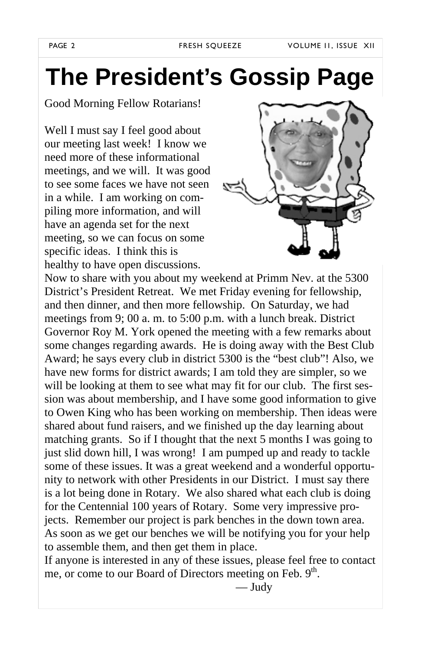### **The President's Gossip Page**

#### Good Morning Fellow Rotarians!

Well I must say I feel good about our meeting last week! I know we need more of these informational meetings, and we will. It was good to see some faces we have not seen in a while. I am working on compiling more information, and will have an agenda set for the next meeting, so we can focus on some specific ideas. I think this is healthy to have open discussions.



Now to share with you about my weekend at Primm Nev. at the 5300 District's President Retreat. We met Friday evening for fellowship, and then dinner, and then more fellowship. On Saturday, we had meetings from 9; 00 a. m. to 5:00 p.m. with a lunch break. District Governor Roy M. York opened the meeting with a few remarks about some changes regarding awards. He is doing away with the Best Club Award; he says every club in district 5300 is the "best club"! Also, we have new forms for district awards; I am told they are simpler, so we will be looking at them to see what may fit for our club. The first session was about membership, and I have some good information to give to Owen King who has been working on membership. Then ideas were shared about fund raisers, and we finished up the day learning about matching grants. So if I thought that the next 5 months I was going to just slid down hill, I was wrong! I am pumped up and ready to tackle some of these issues. It was a great weekend and a wonderful opportunity to network with other Presidents in our District. I must say there is a lot being done in Rotary. We also shared what each club is doing for the Centennial 100 years of Rotary. Some very impressive projects. Remember our project is park benches in the down town area. As soon as we get our benches we will be notifying you for your help to assemble them, and then get them in place.

If anyone is interested in any of these issues, please feel free to contact me, or come to our Board of Directors meeting on Feb. 9<sup>th</sup>.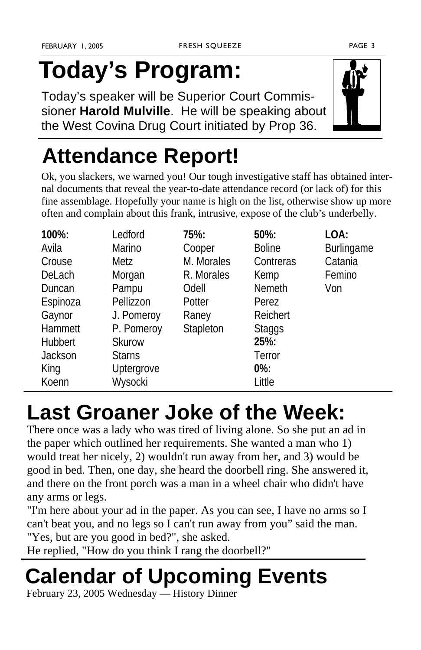## **Today's Program:**

Today's speaker will be Superior Court Commissioner **Harold Mulville**. He will be speaking about the West Covina Drug Court initiated by Prop 36.

#### **Attendance Report!**

Ok, you slackers, we warned you! Our tough investigative staff has obtained internal documents that reveal the year-to-date attendance record (or lack of) for this fine assemblage. Hopefully your name is high on the list, otherwise show up more often and complain about this frank, intrusive, expose of the club's underbelly.

| 100%:    | Ledford       | 75%:       | $50\%$ :      | LOA:       |
|----------|---------------|------------|---------------|------------|
| Avila    | Marino        | Cooper     | <b>Boline</b> | Burlingame |
| Crouse   | Metz          | M. Morales | Contreras     | Catania    |
| DeLach   | Morgan        | R. Morales | Kemp          | Femino     |
| Duncan   | Pampu         | Odell      | <b>Nemeth</b> | Von        |
| Espinoza | Pellizzon     | Potter     | Perez         |            |
| Gaynor   | J. Pomeroy    | Raney      | Reichert      |            |
| Hammett  | P. Pomeroy    | Stapleton  | <b>Staggs</b> |            |
| Hubbert  | Skurow        |            | 25%:          |            |
| Jackson  | <b>Starns</b> |            | Terror        |            |
| King     | Uptergrove    |            | $0\%$ :       |            |
| Koenn    | Wysocki       |            | Little        |            |

#### **Last Groaner Joke of the Week:**

There once was a lady who was tired of living alone. So she put an ad in the paper which outlined her requirements. She wanted a man who 1) would treat her nicely, 2) wouldn't run away from her, and 3) would be good in bed. Then, one day, she heard the doorbell ring. She answered it, and there on the front porch was a man in a wheel chair who didn't have any arms or legs.

"I'm here about your ad in the paper. As you can see, I have no arms so I can't beat you, and no legs so I can't run away from you" said the man. "Yes, but are you good in bed?", she asked.

He replied, "How do you think I rang the doorbell?"

### **Calendar of Upcoming Events**

February 23, 2005 Wednesday — History Dinner